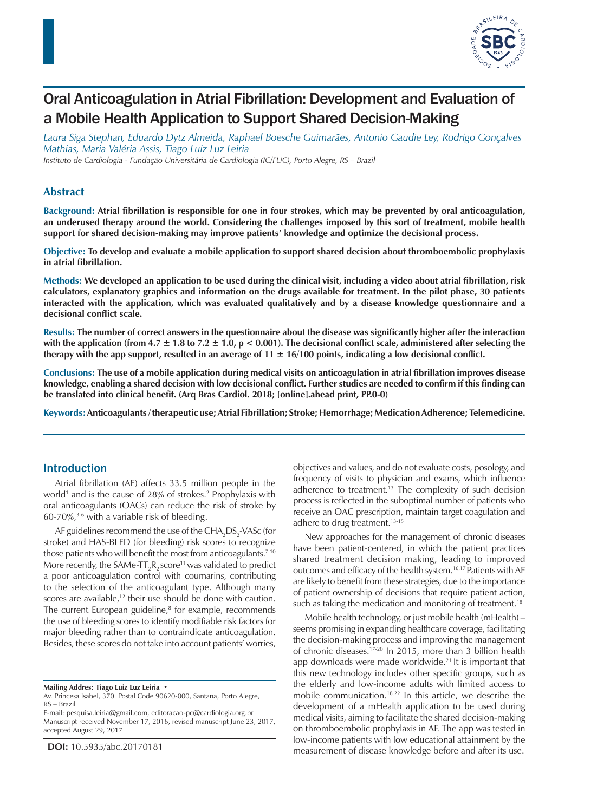

# Oral Anticoagulation in Atrial Fibrillation: Development and Evaluation of a Mobile Health Application to Support Shared Decision-Making

*Laura Siga Stephan, Eduardo Dytz Almeida, Raphael Boesche Guimarães, Antonio Gaudie Ley, Rodrigo Gonçalves Mathias, Maria Valéria Assis, Tiago Luiz Luz Leiria*

*Instituto de Cardiologia - Fundação Universitária de Cardiologia (IC/FUC), Porto Alegre, RS – Brazil*

# **Abstract**

**Background: Atrial fibrillation is responsible for one in four strokes, which may be prevented by oral anticoagulation, an underused therapy around the world. Considering the challenges imposed by this sort of treatment, mobile health support for shared decision-making may improve patients' knowledge and optimize the decisional process.**

**Objective: To develop and evaluate a mobile application to support shared decision about thromboembolic prophylaxis in atrial fibrillation.**

**Methods: We developed an application to be used during the clinical visit, including a video about atrial fibrillation, risk calculators, explanatory graphics and information on the drugs available for treatment. In the pilot phase, 30 patients interacted with the application, which was evaluated qualitatively and by a disease knowledge questionnaire and a decisional conflict scale.**

**Results: The number of correct answers in the questionnaire about the disease was significantly higher after the interaction**  with the application (from  $4.7 \pm 1.8$  to  $7.2 \pm 1.0$ ,  $p < 0.001$ ). The decisional conflict scale, administered after selecting the **therapy with the app support, resulted in an average of 11 ± 16/100 points, indicating a low decisional conflict.**

**Conclusions: The use of a mobile application during medical visits on anticoagulation in atrial fibrillation improves disease knowledge, enabling a shared decision with low decisional conflict. Further studies are needed to confirm if this finding can be translated into clinical benefit. (Arq Bras Cardiol. 2018; [online].ahead print, PP.0-0)**

**Keywords:Anticoagulants / therapeutic use; Atrial Fibrillation; Stroke; Hemorrhage; Medication Adherence; Telemedicine.**

## Introduction

Atrial fibrillation (AF) affects 33.5 million people in the world<sup>1</sup> and is the cause of 28% of strokes.<sup>2</sup> Prophylaxis with oral anticoagulants (OACs) can reduce the risk of stroke by 60-70%, $3-6$  with a variable risk of bleeding.

AF guidelines recommend the use of the  $\mathrm{CHA}_2\mathrm{DS}_2\text{-}\mathsf{VASc}$  (for stroke) and HAS-BLED (for bleeding) risk scores to recognize those patients who will benefit the most from anticoagulants.<sup>7-10</sup> More recently, the SAMe-TT<sub>2</sub>R<sub>2</sub> score<sup>11</sup> was validated to predict a poor anticoagulation control with coumarins, contributing to the selection of the anticoagulant type. Although many scores are available,<sup>12</sup> their use should be done with caution. The current European guideline,<sup>8</sup> for example, recommends the use of bleeding scores to identify modifiable risk factors for major bleeding rather than to contraindicate anticoagulation. Besides, these scores do not take into account patients' worries,

**Mailing Addres: Tiago Luiz Luz Leiria •**

E-mail: pesquisa.leiria@gmail.com, editoracao-pc@cardiologia.org.br Manuscript received November 17, 2016, revised manuscript June 23, 2017, accepted August 29, 2017

**DOI:** 10.5935/abc.20170181

objectives and values, and do not evaluate costs, posology, and frequency of visits to physician and exams, which influence adherence to treatment.13 The complexity of such decision process is reflected in the suboptimal number of patients who receive an OAC prescription, maintain target coagulation and adhere to drug treatment.<sup>13-15</sup>

New approaches for the management of chronic diseases have been patient-centered, in which the patient practices shared treatment decision making, leading to improved outcomes and efficacy of the health system.16,17 Patients with AF are likely to benefit from these strategies, due to the importance of patient ownership of decisions that require patient action, such as taking the medication and monitoring of treatment.<sup>18</sup>

Mobile health technology, or just mobile health (mHealth) – seems promising in expanding healthcare coverage, facilitating the decision-making process and improving the management of chronic diseases.17-20 In 2015, more than 3 billion health app downloads were made worldwide.<sup>21</sup> It is important that this new technology includes other specific groups, such as the elderly and low-income adults with limited access to mobile communication.18.22 In this article, we describe the development of a mHealth application to be used during medical visits, aiming to facilitate the shared decision-making on thromboembolic prophylaxis in AF. The app was tested in low-income patients with low educational attainment by the measurement of disease knowledge before and after its use.

Av. Princesa Isabel, 370. Postal Code 90620-000, Santana, Porto Alegre, RS – Brazil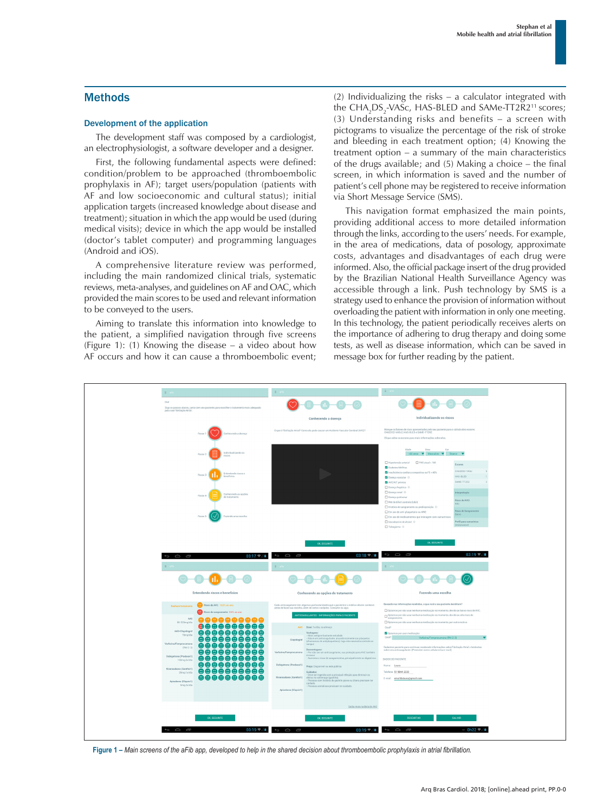# Methods

#### Development of the application

The development staff was composed by a cardiologist, an electrophysiologist, a software developer and a designer.

First, the following fundamental aspects were defined: condition/problem to be approached (thromboembolic prophylaxis in AF); target users/population (patients with AF and low socioeconomic and cultural status); initial application targets (increased knowledge about disease and treatment); situation in which the app would be used (during medical visits); device in which the app would be installed (doctor's tablet computer) and programming languages (Android and iOS).

A comprehensive literature review was performed, including the main randomized clinical trials, systematic reviews, meta-analyses, and guidelines on AF and OAC, which provided the main scores to be used and relevant information to be conveyed to the users.

Aiming to translate this information into knowledge to the patient, a simplified navigation through five screens (Figure 1): (1) Knowing the disease – a video about how AF occurs and how it can cause a thromboembolic event; (2) Individualizing the risks – a calculator integrated with the  $CHA<sub>2</sub>DS<sub>2</sub>-VASC, HAS-BLED and SAME-TT2R2<sup>11</sup> scores;$ (3) Understanding risks and benefits – a screen with pictograms to visualize the percentage of the risk of stroke and bleeding in each treatment option; (4) Knowing the treatment option – a summary of the main characteristics of the drugs available; and (5) Making a choice – the final screen, in which information is saved and the number of patient's cell phone may be registered to receive information via Short Message Service (SMS).

This navigation format emphasized the main points, providing additional access to more detailed information through the links, according to the users' needs. For example, in the area of medications, data of posology, approximate costs, advantages and disadvantages of each drug were informed. Also, the official package insert of the drug provided by the Brazilian National Health Surveillance Agency was accessible through a link. Push technology by SMS is a strategy used to enhance the provision of information without overloading the patient with information in only one meeting. In this technology, the patient periodically receives alerts on the importance of adhering to drug therapy and doing some tests, as well as disease information, which can be saved in message box for further reading by the patient.



**Figure 1 –** *Main screens of the aFib app, developed to help in the shared decision about thromboembolic prophylaxis in atrial fibrillation.*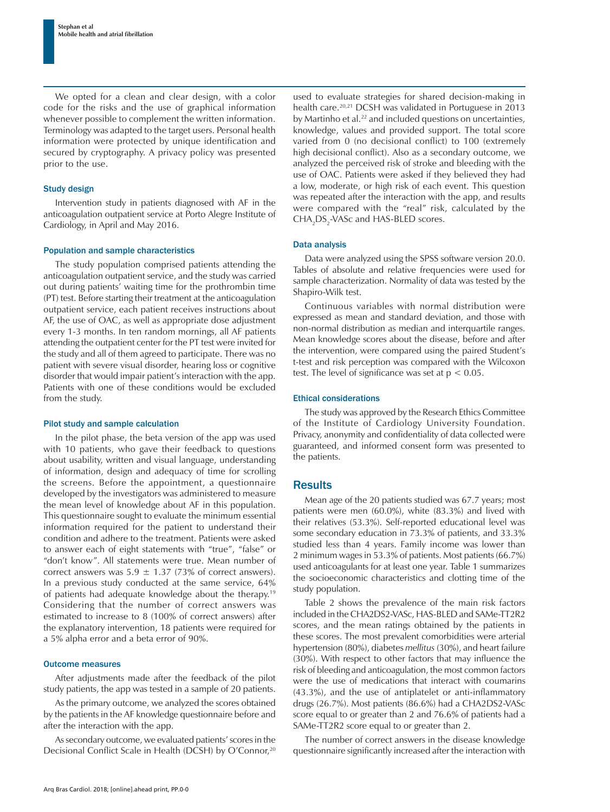We opted for a clean and clear design, with a color code for the risks and the use of graphical information whenever possible to complement the written information. Terminology was adapted to the target users. Personal health information were protected by unique identification and secured by cryptography. A privacy policy was presented prior to the use.

#### Study design

Intervention study in patients diagnosed with AF in the anticoagulation outpatient service at Porto Alegre Institute of Cardiology, in April and May 2016.

#### Population and sample characteristics

The study population comprised patients attending the anticoagulation outpatient service, and the study was carried out during patients' waiting time for the prothrombin time (PT) test. Before starting their treatment at the anticoagulation outpatient service, each patient receives instructions about AF, the use of OAC, as well as appropriate dose adjustment every 1-3 months. In ten random mornings, all AF patients attending the outpatient center for the PT test were invited for the study and all of them agreed to participate. There was no patient with severe visual disorder, hearing loss or cognitive disorder that would impair patient's interaction with the app. Patients with one of these conditions would be excluded from the study.

#### Pilot study and sample calculation

In the pilot phase, the beta version of the app was used with 10 patients, who gave their feedback to questions about usability, written and visual language, understanding of information, design and adequacy of time for scrolling the screens. Before the appointment, a questionnaire developed by the investigators was administered to measure the mean level of knowledge about AF in this population. This questionnaire sought to evaluate the minimum essential information required for the patient to understand their condition and adhere to the treatment. Patients were asked to answer each of eight statements with "true", "false" or "don't know". All statements were true. Mean number of correct answers was  $5.9 \pm 1.37$  (73% of correct answers). In a previous study conducted at the same service, 64% of patients had adequate knowledge about the therapy.19 Considering that the number of correct answers was estimated to increase to 8 (100% of correct answers) after the explanatory intervention, 18 patients were required for a 5% alpha error and a beta error of 90%.

#### Outcome measures

After adjustments made after the feedback of the pilot study patients, the app was tested in a sample of 20 patients.

As the primary outcome, we analyzed the scores obtained by the patients in the AF knowledge questionnaire before and after the interaction with the app.

As secondary outcome, we evaluated patients' scores in the Decisional Conflict Scale in Health (DCSH) by O'Connor,<sup>20</sup> used to evaluate strategies for shared decision-making in health care.<sup>20,21</sup> DCSH was validated in Portuguese in 2013 by Martinho et al.<sup>22</sup> and included questions on uncertainties, knowledge, values and provided support. The total score varied from 0 (no decisional conflict) to 100 (extremely high decisional conflict). Also as a secondary outcome, we analyzed the perceived risk of stroke and bleeding with the use of OAC. Patients were asked if they believed they had a low, moderate, or high risk of each event. This question was repeated after the interaction with the app, and results were compared with the "real" risk, calculated by the  $CHA<sub>2</sub>DS<sub>2</sub> - VASC and HAS-BLED scores.$ 

#### Data analysis

Data were analyzed using the SPSS software version 20.0. Tables of absolute and relative frequencies were used for sample characterization. Normality of data was tested by the Shapiro-Wilk test.

Continuous variables with normal distribution were expressed as mean and standard deviation, and those with non-normal distribution as median and interquartile ranges. Mean knowledge scores about the disease, before and after the intervention, were compared using the paired Student's t-test and risk perception was compared with the Wilcoxon test. The level of significance was set at  $p < 0.05$ .

### Ethical considerations

The study was approved by the Research Ethics Committee of the Institute of Cardiology University Foundation. Privacy, anonymity and confidentiality of data collected were guaranteed, and informed consent form was presented to the patients.

## **Results**

Mean age of the 20 patients studied was 67.7 years; most patients were men (60.0%), white (83.3%) and lived with their relatives (53.3%). Self-reported educational level was some secondary education in 73.3% of patients, and 33.3% studied less than 4 years. Family income was lower than 2 minimum wages in 53.3% of patients. Most patients (66.7%) used anticoagulants for at least one year. Table 1 summarizes the socioeconomic characteristics and clotting time of the study population.

Table 2 shows the prevalence of the main risk factors included in the CHA2DS2-VASc, HAS-BLED and SAMe-TT2R2 scores, and the mean ratings obtained by the patients in these scores. The most prevalent comorbidities were arterial hypertension (80%), diabetes *mellitus* (30%), and heart failure (30%). With respect to other factors that may influence the risk of bleeding and anticoagulation, the most common factors were the use of medications that interact with coumarins (43.3%), and the use of antiplatelet or anti-inflammatory drugs (26.7%). Most patients (86.6%) had a CHA2DS2-VASc score equal to or greater than 2 and 76.6% of patients had a SAMe-TT2R2 score equal to or greater than 2.

The number of correct answers in the disease knowledge questionnaire significantly increased after the interaction with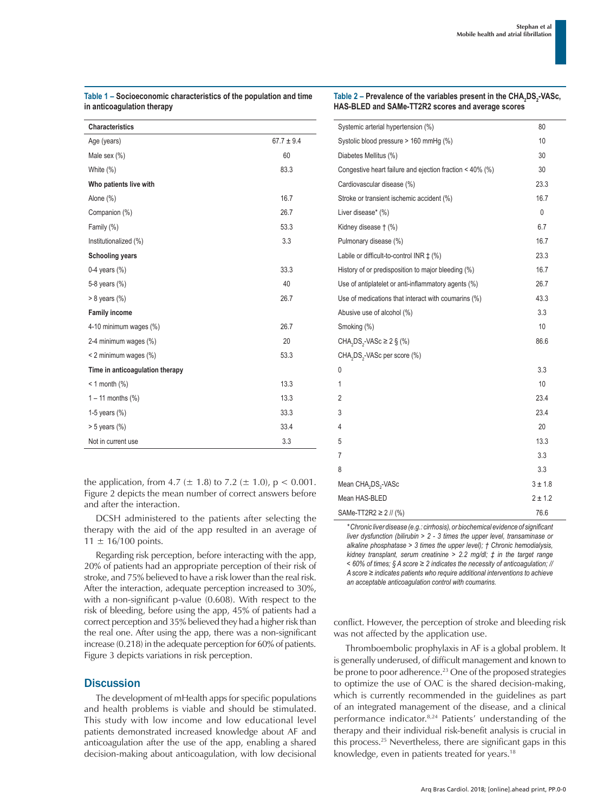## **Table 1 – Socioeconomic characteristics of the population and time in anticoagulation therapy**

### Table 2 – Prevalence of the variables present in the CHA<sub>2</sub>DS<sub>2</sub>-VASc, **HAS-BLED and SAMe-TT2R2 scores and average scores**

| <b>Characteristics</b>          |                |
|---------------------------------|----------------|
| Age (years)                     | $67.7 \pm 9.4$ |
| Male sex (%)                    | 60             |
| White $(\%)$                    | 83.3           |
| Who patients live with          |                |
| Alone (%)                       | 16.7           |
| Companion (%)                   | 26.7           |
| Family (%)                      | 53.3           |
| Institutionalized (%)           | 3.3            |
| <b>Schooling years</b>          |                |
| $0-4$ years $(\%)$              | 33.3           |
| 5-8 years (%)                   | 40             |
| $> 8$ years $(\%)$              | 26.7           |
| <b>Family income</b>            |                |
| 4-10 minimum wages (%)          | 26.7           |
| 2-4 minimum wages (%)           | 20             |
| < 2 minimum wages (%)           | 53.3           |
| Time in anticoagulation therapy |                |
| $<$ 1 month $(\%)$              | 13.3           |
| $1 - 11$ months $(\%)$          | 13.3           |
| 1-5 years $(\%)$                | 33.3           |
| $> 5$ years $(\%)$              | 33.4           |
| Not in current use              | 3.3            |

the application, from 4.7 ( $\pm$  1.8) to 7.2 ( $\pm$  1.0), p < 0.001. Figure 2 depicts the mean number of correct answers before and after the interaction.

DCSH administered to the patients after selecting the therapy with the aid of the app resulted in an average of  $11 \pm 16/100$  points.

Regarding risk perception, before interacting with the app, 20% of patients had an appropriate perception of their risk of stroke, and 75% believed to have a risk lower than the real risk. After the interaction, adequate perception increased to 30%, with a non-significant p-value (0.608). With respect to the risk of bleeding, before using the app, 45% of patients had a correct perception and 35% believed they had a higher risk than the real one. After using the app, there was a non-significant increase (0.218) in the adequate perception for 60% of patients. Figure 3 depicts variations in risk perception.

## **Discussion**

The development of mHealth apps for specific populations and health problems is viable and should be stimulated. This study with low income and low educational level patients demonstrated increased knowledge about AF and anticoagulation after the use of the app, enabling a shared decision-making about anticoagulation, with low decisional

| Systemic arterial hypertension (%)                       | 80        |
|----------------------------------------------------------|-----------|
| Systolic blood pressure > 160 mmHg (%)                   | 10        |
| Diabetes Mellitus (%)                                    | 30        |
| Congestive heart failure and ejection fraction < 40% (%) | 30        |
| Cardiovascular disease (%)                               | 23.3      |
| Stroke or transient ischemic accident (%)                | 16.7      |
| Liver disease* (%)                                       | 0         |
| Kidney disease $\uparrow$ (%)                            | 6.7       |
| Pulmonary disease (%)                                    | 16.7      |
| Labile or difficult-to-control INR $\ddagger$ (%)        | 23.3      |
| History of or predisposition to major bleeding (%)       | 16.7      |
| Use of antiplatelet or anti-inflammatory agents (%)      | 26.7      |
| Use of medications that interact with coumarins (%)      | 43.3      |
| Abusive use of alcohol (%)                               | 3.3       |
| Smoking (%)                                              | 10        |
| CHA <sub>2</sub> DS <sub>2</sub> -VASc ≥ 2 § (%)         | 86.6      |
| CHA <sub>2</sub> DS <sub>2</sub> -VASc per score (%)     |           |
| 0                                                        | 3.3       |
| 1                                                        | 10        |
| 2                                                        | 23.4      |
| 3                                                        | 23.4      |
| 4                                                        | 20        |
| 5                                                        | 13.3      |
| 7                                                        | 3.3       |
| 8                                                        | 3.3       |
| Mean CHA <sub>2</sub> DS <sub>2</sub> -VASc              | $3 + 1.8$ |
| Mean HAS-BLED                                            | $2 + 1.2$ |
| SAMe-TT2R2 $\ge$ 2 // (%)                                | 76.6      |
|                                                          |           |

*\* Chronic liver disease (e.g.: cirrhosis), or biochemical evidence of significant liver dysfunction (bilirubin > 2 - 3 times the upper level, transaminase or alkaline phosphatase > 3 times the upper level); † Chronic hemodialysis, kidney transplant, serum creatinine > 2.2 mg/dl; ‡ in the target range < 60% of times; § A score ≥ 2 indicates the necessity of anticoagulation; // A score ≥ indicates patients who require additional interventions to achieve an acceptable anticoagulation control with coumarins.*

conflict. However, the perception of stroke and bleeding risk was not affected by the application use.

Thromboembolic prophylaxis in AF is a global problem. It is generally underused, of difficult management and known to be prone to poor adherence.<sup>23</sup> One of the proposed strategies to optimize the use of OAC is the shared decision-making, which is currently recommended in the guidelines as part of an integrated management of the disease, and a clinical performance indicator.8,24 Patients' understanding of the therapy and their individual risk-benefit analysis is crucial in this process.25 Nevertheless, there are significant gaps in this knowledge, even in patients treated for years.18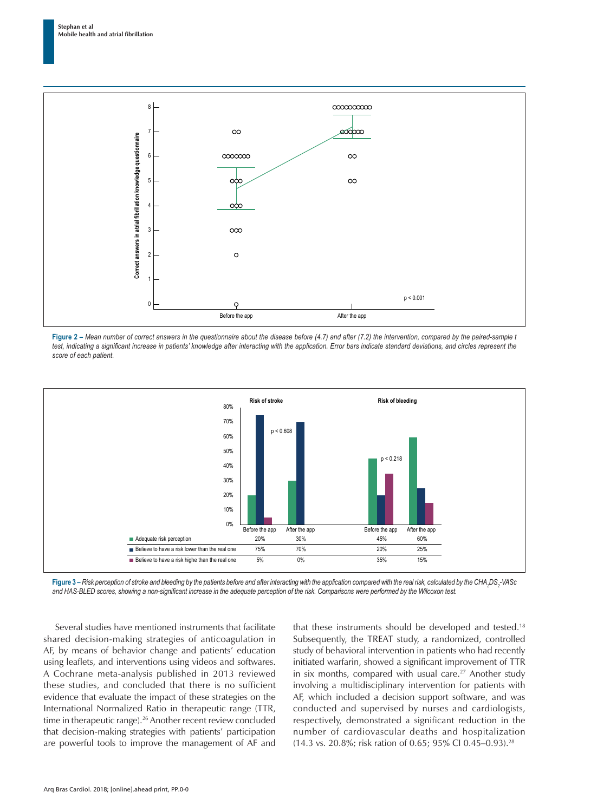

**Figure 2 –** *Mean number of correct answers in the questionnaire about the disease before (4.7) and after (7.2) the intervention, compared by the paired-sample t*  test, indicating a significant increase in patients' knowledge after interacting with the application. Error bars indicate standard deviations, and circles represent the *score of each patient.*



**Figure 3 –** *Risk perception of stroke and bleeding by the patients before and after interacting with the application compared with the real risk, calculated by the CHA<sup>2</sup> DS2 -VASc and HAS-BLED scores, showing a non-significant increase in the adequate perception of the risk. Comparisons were performed by the Wilcoxon test.*

Several studies have mentioned instruments that facilitate shared decision-making strategies of anticoagulation in AF, by means of behavior change and patients' education using leaflets, and interventions using videos and softwares. A Cochrane meta-analysis published in 2013 reviewed these studies, and concluded that there is no sufficient evidence that evaluate the impact of these strategies on the International Normalized Ratio in therapeutic range (TTR, time in therapeutic range).<sup>26</sup> Another recent review concluded that decision-making strategies with patients' participation are powerful tools to improve the management of AF and that these instruments should be developed and tested.<sup>18</sup> Subsequently, the TREAT study, a randomized, controlled study of behavioral intervention in patients who had recently initiated warfarin, showed a significant improvement of TTR in six months, compared with usual care.<sup>27</sup> Another study involving a multidisciplinary intervention for patients with AF, which included a decision support software, and was conducted and supervised by nurses and cardiologists, respectively, demonstrated a significant reduction in the number of cardiovascular deaths and hospitalization (14.3 vs. 20.8%; risk ration of 0.65; 95% CI 0.45–0.93).28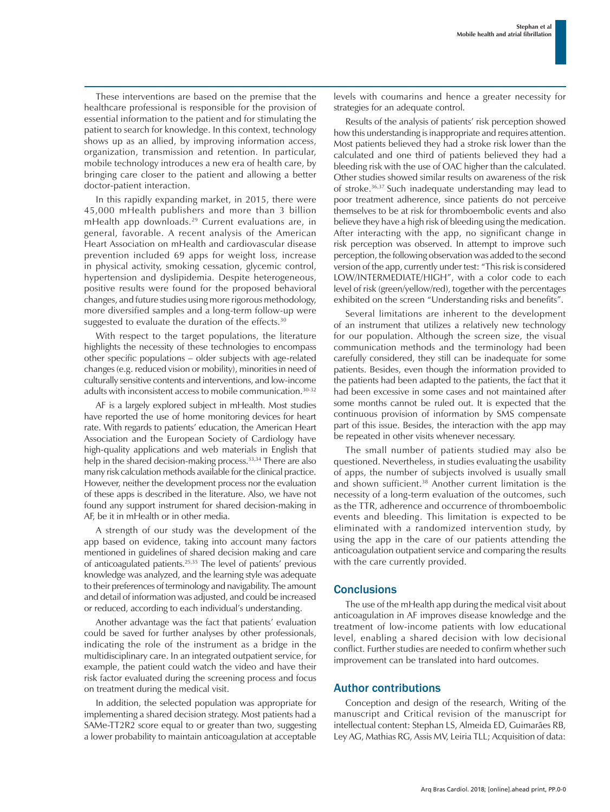These interventions are based on the premise that the healthcare professional is responsible for the provision of essential information to the patient and for stimulating the patient to search for knowledge. In this context, technology shows up as an allied, by improving information access, organization, transmission and retention. In particular, mobile technology introduces a new era of health care, by bringing care closer to the patient and allowing a better doctor-patient interaction.

In this rapidly expanding market, in 2015, there were 45,000 mHealth publishers and more than 3 billion mHealth app downloads.<sup>29</sup> Current evaluations are, in general, favorable. A recent analysis of the American Heart Association on mHealth and cardiovascular disease prevention included 69 apps for weight loss, increase in physical activity, smoking cessation, glycemic control, hypertension and dyslipidemia. Despite heterogeneous, positive results were found for the proposed behavioral changes, and future studies using more rigorous methodology, more diversified samples and a long-term follow-up were suggested to evaluate the duration of the effects.<sup>30</sup>

With respect to the target populations, the literature highlights the necessity of these technologies to encompass other specific populations – older subjects with age-related changes (e.g. reduced vision or mobility), minorities in need of culturally sensitive contents and interventions, and low-income adults with inconsistent access to mobile communication.<sup>30-32</sup>

AF is a largely explored subject in mHealth. Most studies have reported the use of home monitoring devices for heart rate. With regards to patients' education, the American Heart Association and the European Society of Cardiology have high-quality applications and web materials in English that help in the shared decision-making process.<sup>33,34</sup> There are also many risk calculation methods available for the clinical practice. However, neither the development process nor the evaluation of these apps is described in the literature. Also, we have not found any support instrument for shared decision-making in AF, be it in mHealth or in other media.

A strength of our study was the development of the app based on evidence, taking into account many factors mentioned in guidelines of shared decision making and care of anticoagulated patients.25,35 The level of patients' previous knowledge was analyzed, and the learning style was adequate to their preferences of terminology and navigability. The amount and detail of information was adjusted, and could be increased or reduced, according to each individual's understanding.

Another advantage was the fact that patients' evaluation could be saved for further analyses by other professionals, indicating the role of the instrument as a bridge in the multidisciplinary care. In an integrated outpatient service, for example, the patient could watch the video and have their risk factor evaluated during the screening process and focus on treatment during the medical visit.

In addition, the selected population was appropriate for implementing a shared decision strategy. Most patients had a SAMe-TT2R2 score equal to or greater than two, suggesting a lower probability to maintain anticoagulation at acceptable levels with coumarins and hence a greater necessity for strategies for an adequate control.

Results of the analysis of patients' risk perception showed how this understanding is inappropriate and requires attention. Most patients believed they had a stroke risk lower than the calculated and one third of patients believed they had a bleeding risk with the use of OAC higher than the calculated. Other studies showed similar results on awareness of the risk of stroke.36,37 Such inadequate understanding may lead to poor treatment adherence, since patients do not perceive themselves to be at risk for thromboembolic events and also believe they have a high risk of bleeding using the medication. After interacting with the app, no significant change in risk perception was observed. In attempt to improve such perception, the following observation was added to the second version of the app, currently under test: "This risk is considered LOW/INTERMEDIATE/HIGH", with a color code to each level of risk (green/yellow/red), together with the percentages exhibited on the screen "Understanding risks and benefits".

Several limitations are inherent to the development of an instrument that utilizes a relatively new technology for our population. Although the screen size, the visual communication methods and the terminology had been carefully considered, they still can be inadequate for some patients. Besides, even though the information provided to the patients had been adapted to the patients, the fact that it had been excessive in some cases and not maintained after some months cannot be ruled out. It is expected that the continuous provision of information by SMS compensate part of this issue. Besides, the interaction with the app may be repeated in other visits whenever necessary.

The small number of patients studied may also be questioned. Nevertheless, in studies evaluating the usability of apps, the number of subjects involved is usually small and shown sufficient.38 Another current limitation is the necessity of a long-term evaluation of the outcomes, such as the TTR, adherence and occurrence of thromboembolic events and bleeding. This limitation is expected to be eliminated with a randomized intervention study, by using the app in the care of our patients attending the anticoagulation outpatient service and comparing the results with the care currently provided.

# **Conclusions**

The use of the mHealth app during the medical visit about anticoagulation in AF improves disease knowledge and the treatment of low-income patients with low educational level, enabling a shared decision with low decisional conflict. Further studies are needed to confirm whether such improvement can be translated into hard outcomes.

## Author contributions

Conception and design of the research, Writing of the manuscript and Critical revision of the manuscript for intellectual content: Stephan LS, Almeida ED, Guimarães RB, Ley AG, Mathias RG, Assis MV, Leiria TLL; Acquisition of data: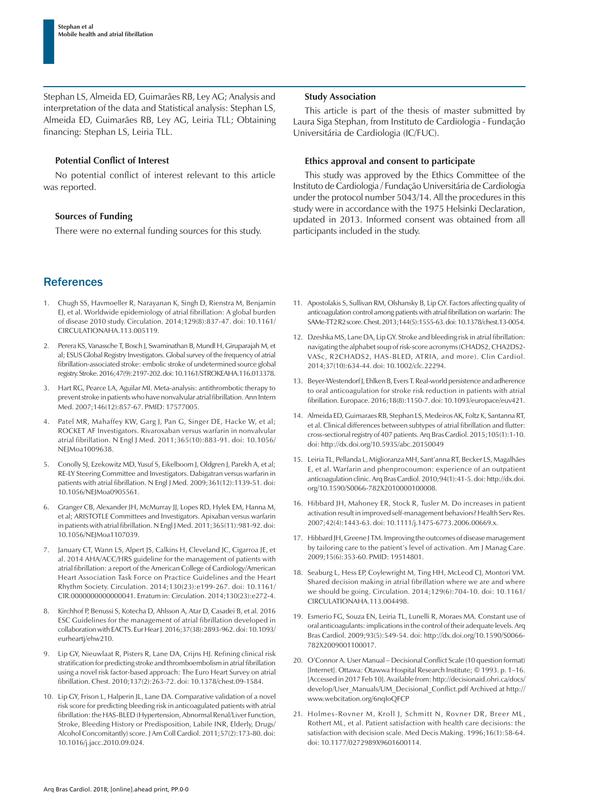Stephan LS, Almeida ED, Guimarães RB, Ley AG; Analysis and interpretation of the data and Statistical analysis: Stephan LS, Almeida ED, Guimarães RB, Ley AG, Leiria TLL; Obtaining financing: Stephan LS, Leiria TLL.

## **Potential Conflict of Interest**

No potential conflict of interest relevant to this article was reported.

## **Sources of Funding**

There were no external funding sources for this study.

# **References**

- 1. Chugh SS, Havmoeller R, Narayanan K, Singh D, Rienstra M, Benjamin EJ, et al. Worldwide epidemiology of atrial fibrillation: A global burden of disease 2010 study. Circulation. 2014;129(8):837-47. doi: 10.1161/ CIRCULATIONAHA.113.005119.
- 2. Perera KS, Vanassche T, Bosch J, Swaminathan B, Mundl H, Giruparajah M, et al; ESUS Global Registry Investigators. Global survey of the frequency of atrial fibrillation-associated stroke: embolic stroke of undetermined source global registry. Stroke. 2016;47(9):2197-202. doi: 10.1161/STROKEAHA.116.013378.
- 3. Hart RG, Pearce LA, Aguilar MI. Meta-analysis: antithrombotic therapy to prevent stroke in patients who have nonvalvular atrial fibrillation. Ann Intern Med. 2007;146(12):857-67. PMID: 17577005.
- Patel MR, Mahaffey KW, Garg J, Pan G, Singer DE, Hacke W, et al; ROCKET AF Investigators. Rivaroxaban versus warfarin in nonvalvular atrial fibrillation. N Engl J Med. 2011;365(10):883-91. doi: 10.1056/ NEJMoa1009638.
- 5. Conolly SJ, Ezekowitz MD, Yusuf S, Eikelboom J, Oldgren J, Parekh A, et al; RE-LY Steering Committee and Investigators. Dabigatran versus warfarin in patients with atrial fibrillation. N Engl J Med. 2009;361(12):1139-51. doi: 10.1056/NEJMoa0905561.
- 6. Granger CB, Alexander JH, McMurray JJ, Lopes RD, Hylek EM, Hanna M, et al; ARISTOTLE Committees and Investigators. Apixaban versus warfarin in patients with atrial fibrillation. N Engl J Med. 2011;365(11):981-92. doi: 10.1056/NEJMoa1107039.
- 7. January CT, Wann LS, Alpert JS, Calkins H, Cleveland JC, Cigarroa JE, et al. 2014 AHA/ACC/HRS guideline for the management of patients with atrial fibrillation: a report of the American College of Cardiology/American Heart Association Task Force on Practice Guidelines and the Heart Rhythm Society. Circulation. 2014;130(23):e199-267. doi: 10.1161/ CIR.0000000000000041. Erratum in: Circulation. 2014;130(23):e272-4.
- 8. Kirchhof P, Benussi S, Kotecha D, Ahlsson A, Atar D, Casadei B, et al. 2016 ESC Guidelines for the management of atrial fibrillation developed in collaboration with EACTS. Eur Hear J. 2016;37(38):2893-962. doi: 10.1093/ eurhearti/ehw210.
- 9. Lip GY, Nieuwlaat R, Pisters R, Lane DA, Crijns HJ. Refining clinical risk stratification for predicting stroke and thromboembolism in atrial fibrillation using a novel risk factor-based approach: The Euro Heart Survey on atrial fibrillation. Chest. 2010;137(2):263-72. doi: 10.1378/chest.09-1584.
- 10. Lip GY, Frison L, Halperin JL, Lane DA. Comparative validation of a novel risk score for predicting bleeding risk in anticoagulated patients with atrial fibrillation: the HAS-BLED (Hypertension, Abnormal Renal/Liver Function, Stroke, Bleeding History or Predisposition, Labile INR, Elderly, Drugs/ Alcohol Concomitantly) score. J Am Coll Cardiol. 2011;57(2):173-80. doi: 10.1016/j.jacc.2010.09.024.

### **Study Association**

This article is part of the thesis of master submitted by Laura Siga Stephan, from Instituto de Cardiologia - Fundação Universitária de Cardiologia (IC/FUC).

#### **Ethics approval and consent to participate**

This study was approved by the Ethics Committee of the Instituto de Cardiologia / Fundação Universitária de Cardiologia under the protocol number 5043/14. All the procedures in this study were in accordance with the 1975 Helsinki Declaration, updated in 2013. Informed consent was obtained from all participants included in the study.

- 11. Apostolakis S, Sullivan RM, Olshansky B, Lip GY. Factors affecting quality of anticoagulation control among patients with atrial fibrillation on warfarin: The SAMe-TT2 R2 score. Chest. 2013;144(5):1555-63. doi: 10.1378/chest.13-0054.
- 12. Dzeshka MS, Lane DA, Lip GY. Stroke and bleeding risk in atrial fibrillation: navigating the alphabet soup of risk-score acronyms (CHADS2, CHA2DS2- VASc, R2CHADS2, HAS-BLED, ATRIA, and more). Clin Cardiol. 2014;37(10):634-44. doi: 10.1002/clc.22294.
- 13. Beyer-Westendorf J, Ehlken B, Evers T. Real-world persistence and adherence to oral anticoagulation for stroke risk reduction in patients with atrial fibrillation. Europace. 2016;18(8):1150-7. doi: 10.1093/europace/euv421.
- 14. Almeida ED, Guimaraes RB, Stephan LS, Medeiros AK, Foltz K, Santanna RT, et al. Clinical differences between subtypes of atrial fibrillation and flutter: cross-sectional registry of 407 patients. Arq Bras Cardiol. 2015;105(1):1-10. doi: http://dx.doi.org/10.5935/abc.20150049
- 15. Leiria TL, Pellanda L, Miglioranza MH, Sant'anna RT, Becker LS, Magalhães E, et al. Warfarin and phenprocoumon: experience of an outpatient anticoagulation clinic. Arq Bras Cardiol. 2010;94(1):41-5. doi: http://dx.doi. org/10.1590/S0066-782X2010000100008.
- 16. Hibbard JH, Mahoney ER, Stock R, Tusler M. Do increases in patient activation result in improved self-management behaviors? Health Serv Res. 2007;42(4):1443-63. doi: 10.1111/j.1475-6773.2006.00669.x.
- 17. Hibbard JH, Greene J TM. Improving the outcomes of disease management by tailoring care to the patient's level of activation. Am J Manag Care. 2009;15(6):353-60. PMID: 19514801.
- 18. Seaburg L, Hess EP, Coylewright M, Ting HH, McLeod CJ, Montori VM. Shared decision making in atrial fibrillation where we are and where we should be going. Circulation. 2014;129(6):704-10. doi: 10.1161/ CIRCULATIONAHA.113.004498.
- 19. Esmerio FG, Souza EN, Leiria TL, Lunelli R, Moraes MA. Constant use of oral anticoagulants: implications in the control of their adequate levels. Arq Bras Cardiol. 2009;93(5):549-54. doi: http://dx.doi.org/10.1590/S0066- 782X2009001100017.
- 20. O'Connor A. User Manual Decisional Conflict Scale (10 question format) [Internet]. Ottawa: Otawwa Hospital Research Institute; © 1993. p. 1–16. [Accessed in 2017 Feb 10]. Available from: http://decisionaid.ohri.ca/docs/ develop/User\_Manuals/UM\_Decisional\_Conflict.pdf Archived at http:// www.webcitation.org/6nqIoQFCP
- 21. Holmes-Rovner M, Kroll J, Schmitt N, Rovner DR, Breer ML, Rothert ML, et al. Patient satisfaction with health care decisions: the satisfaction with decision scale. Med Decis Making. 1996;16(1):58-64. doi: 10.1177/0272989X9601600114.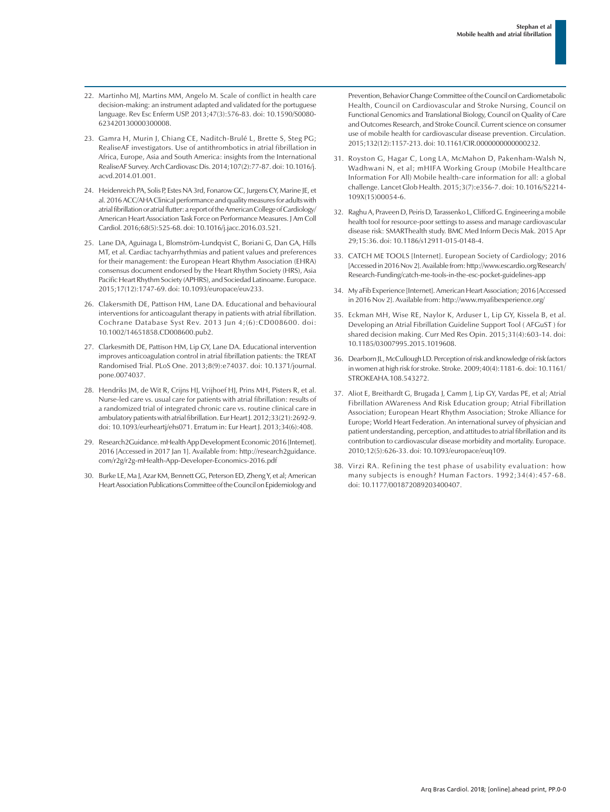- 22. Martinho MJ, Martins MM, Angelo M. Scale of conflict in health care decision-making: an instrument adapted and validated for the portuguese language. Rev Esc Enferm USP. 2013;47(3):576-83. doi: 10.1590/S0080- 623420130000300008.
- 23. Gamra H, Murin J, Chiang CE, Naditch-Brulé L, Brette S, Steg PG; RealiseAF investigators. Use of antithrombotics in atrial fibrillation in Africa, Europe, Asia and South America: insights from the International RealiseAF Survey. Arch Cardiovasc Dis. 2014;107(2):77-87. doi: 10.1016/j. acvd.2014.01.001.
- 24. Heidenreich PA, Solis P, Estes NA 3rd, Fonarow GC, Jurgens CY, Marine JE, et al. 2016 ACC/AHA Clinical performance and quality measures for adults with atrial fibrillation or atrial flutter: a report of the American College of Cardiology/ American Heart Association Task Force on Performance Measures. J Am Coll Cardiol. 2016;68(5):525-68. doi: 10.1016/j.jacc.2016.03.521.
- 25. Lane DA, Aguinaga L, Blomström-Lundqvist C, Boriani G, Dan GA, Hills MT, et al. Cardiac tachyarrhythmias and patient values and preferences for their management: the European Heart Rhythm Association (EHRA) consensus document endorsed by the Heart Rhythm Society (HRS), Asia Pacific Heart Rhythm Society (APHRS), and Sociedad Latinoame. Europace. 2015;17(12):1747-69. doi: 10.1093/europace/euv233.
- 26. Clakersmith DE, Pattison HM, Lane DA. Educational and behavioural interventions for anticoagulant therapy in patients with atrial fibrillation. Cochrane Database Syst Rev. 2013 Jun 4;(6):CD008600. doi: 10.1002/14651858.CD008600.pub2.
- 27. Clarkesmith DE, Pattison HM, Lip GY, Lane DA. Educational intervention improves anticoagulation control in atrial fibrillation patients: the TREAT Randomised Trial. PLoS One. 2013;8(9):e74037. doi: 10.1371/journal. pone.0074037.
- 28. Hendriks JM, de Wit R, Crijns HJ, Vrijhoef HJ, Prins MH, Pisters R, et al. Nurse-led care vs. usual care for patients with atrial fibrillation: results of a randomized trial of integrated chronic care vs. routine clinical care in ambulatory patients with atrial fibrillation. Eur Heart J. 2012;33(21):2692-9. doi: 10.1093/eurheartj/ehs071. Erratum in: Eur Heart J. 2013;34(6):408.
- 29. Research2Guidance. mHealth App Development Economic 2016 [Internet]. 2016 [Accessed in 2017 Jan 1]. Available from: http://research2guidance. com/r2g/r2g-mHealth-App-Developer-Economics-2016.pdf
- 30. Burke LE, Ma J, Azar KM, Bennett GG, Peterson ED, Zheng Y, et al; American Heart Association Publications Committee of the Council on Epidemiology and

Prevention, Behavior Change Committee of the Council on Cardiometabolic Health, Council on Cardiovascular and Stroke Nursing, Council on Functional Genomics and Translational Biology, Council on Quality of Care and Outcomes Research, and Stroke Council. Current science on consumer use of mobile health for cardiovascular disease prevention. Circulation. 2015;132(12):1157-213. doi: 10.1161/CIR.0000000000000232.

- 31. Royston G, Hagar C, Long LA, McMahon D, Pakenham-Walsh N, Wadhwani N, et al; mHIFA Working Group (Mobile Healthcare Information For All) Mobile health-care information for all: a global challenge. Lancet Glob Health. 2015;3(7):e356-7. doi: 10.1016/S2214- 109X(15)00054-6.
- 32. Raghu A, Praveen D, Peiris D, Tarassenko L, Clifford G. Engineering a mobile health tool for resource-poor settings to assess and manage cardiovascular disease risk: SMARThealth study. BMC Med Inform Decis Mak. 2015 Apr 29;15:36. doi: 10.1186/s12911-015-0148-4.
- 33. CATCH ME TOOLS [Internet]. European Society of Cardiology; 2016 [Accessed in 2016 Nov 2]. Available from: http://www.escardio.org/Research/ Research-Funding/catch-me-tools-in-the-esc-pocket-guidelines-app
- 34. My aFib Experience [Internet]. American Heart Association; 2016 [Accessed in 2016 Nov 2]. Available from: http://www.myafibexperience.org/
- 35. Eckman MH, Wise RE, Naylor K, Arduser L, Lip GY, Kissela B, et al. Developing an Atrial Fibrillation Guideline Support Tool ( AFGuST ) for shared decision making. Curr Med Res Opin. 2015;31(4):603-14. doi: 10.1185/03007995.2015.1019608.
- 36. Dearborn JL, McCullough LD. Perception of risk and knowledge of risk factors in women at high risk for stroke. Stroke. 2009;40(4):1181-6. doi: 10.1161/ STROKEAHA.108.543272.
- 37. Aliot E, Breithardt G, Brugada J, Camm J, Lip GY, Vardas PE, et al; Atrial Fibrillation AWareness And Risk Education group; Atrial Fibrillation Association; European Heart Rhythm Association; Stroke Alliance for Europe; World Heart Federation. An international survey of physician and patient understanding, perception, and attitudes to atrial fibrillation and its contribution to cardiovascular disease morbidity and mortality. Europace. 2010;12(5):626-33. doi: 10.1093/europace/euq109.
- 38. Virzi RA. Refining the test phase of usability evaluation: how many subjects is enough? Human Factors. 1992;34(4):457-68. doi: 10.1177/001872089203400407.